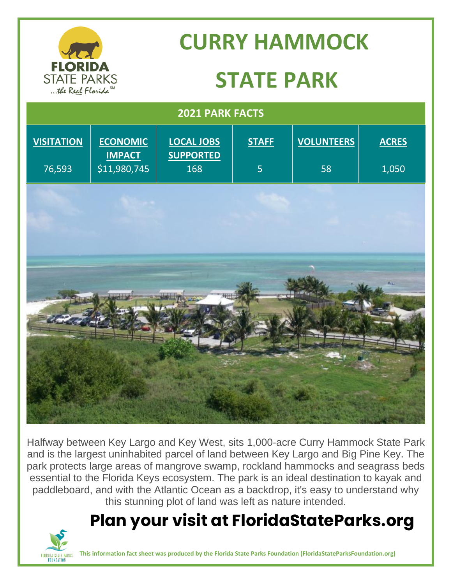

Halfway between Key Largo and Key West, sits 1,000-acre Curry Hammock State Park and is the largest uninhabited parcel of land between Key Largo and Big Pine Key. The park protects large areas of mangrove swamp, rockland hammocks and seagrass beds essential to the Florida Keys ecosystem. The park is an ideal destination to kayak and paddleboard, and with the Atlantic Ocean as a backdrop, it's easy to understand why this stunning plot of land was left as nature intended.

## **Plan your visit at FloridaStateParks.org**



**This information fact sheet was produced by the Florida State Parks Foundation (FloridaStateParksFoundation.org)**